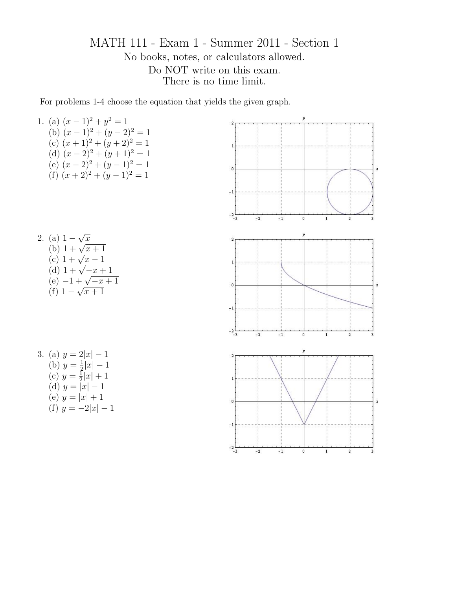MATH 111 - Exam 1 - Summer 2011 - Section 1 No books, notes, or calculators allowed. Do NOT write on this exam. There is no time limit.

For problems 1-4 choose the equation that yields the given graph.

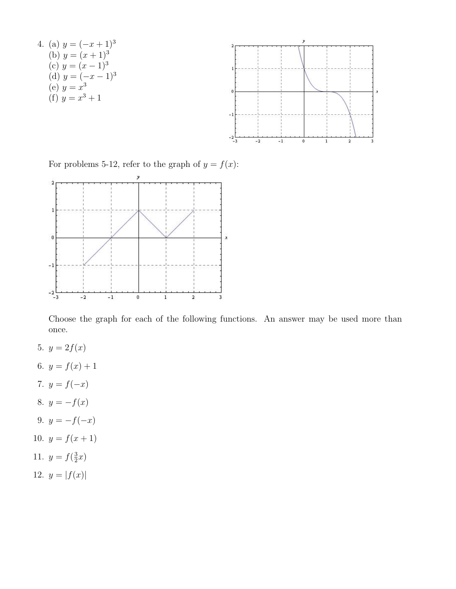

For problems 5-12, refer to the graph of  $y = f(x)$ :



Choose the graph for each of the following functions. An answer may be used more than once.

- 5.  $y = 2f(x)$
- 6.  $y = f(x) + 1$
- 7.  $y = f(-x)$
- 8.  $y = -f(x)$
- 9.  $y = -f(-x)$
- 10.  $y = f(x + 1)$
- 11.  $y = f(\frac{3}{2})$  $\frac{3}{2}x)$
- 12.  $y = |f(x)|$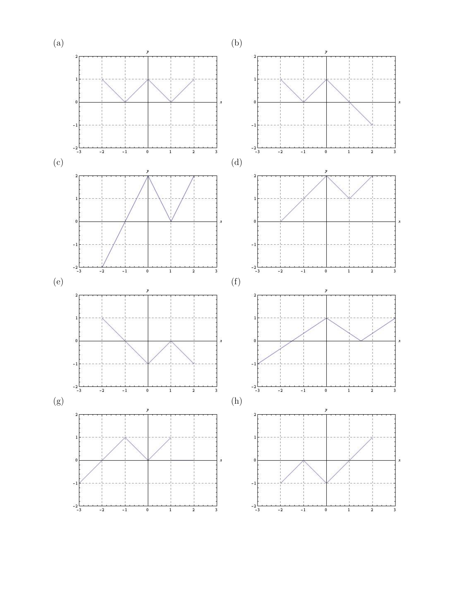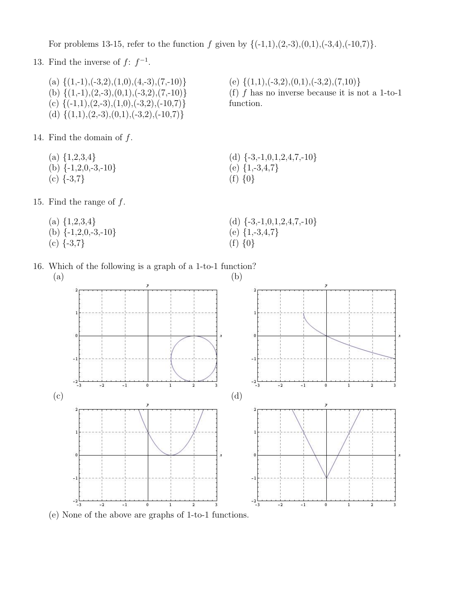For problems 13-15, refer to the function f given by  $\{(-1,1),(2,-3),(0,1),(-3,4),(-10,7)\}.$ 

13. Find the inverse of  $f: f^{-1}$ .

(a)  $\{(1,-1), (-3,2), (1,0), (4,-3), (7,-10)\}$ (b)  $\{(1,-1),(2,-3),(0,1),(-3,2),(7,-10)\}$ (c)  $\{(-1,1),(2,-3),(1,0),(-3,2),(-10,7)\}$ (d)  $\{(1,1),(2,-3),(0,1),(-3,2),(-10,7)\}\$ 

14. Find the domain of  $f$ .

- (a)  $\{1,2,3,4\}$
- (b)  $\{-1,2,0,-3,-10\}$
- $(c)$  {-3,7}

15. Find the range of  $f$ .

- (a)  $\{1,2,3,4\}$ (b)  $\{-1,2,0,-3,-10\}$
- 
- $(c)$  {-3,7}

(e)  $\{(1,1), (-3,2), (0,1), (-3,2), (7,10)\}$ (f) f has no inverse because it is not a 1-to-1 function.

(d)  $\{-3,-1,0,1,2,4,7,-10\}$ (e)  $\{1, -3, 4, 7\}$ (f) {0}

- (d)  $\{-3,-1,0,1,2,4,7,-10\}$ (e)  $\{1, -3, 4, 7\}$
- (f) {0}





(e) None of the above are graphs of 1-to-1 functions.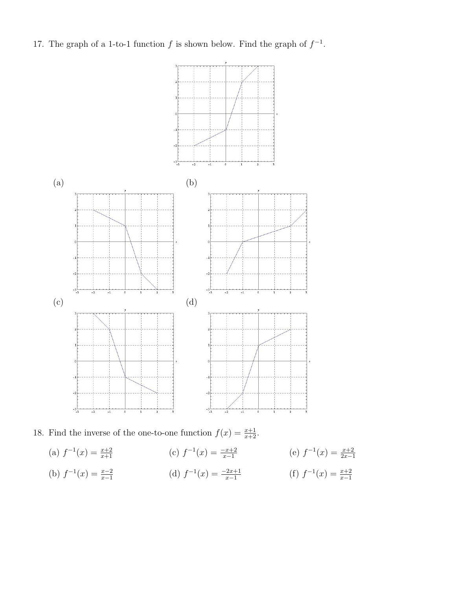17. The graph of a 1-to-1 function f is shown below. Find the graph of  $f^{-1}$ .



18. Find the inverse of the one-to-one function  $f(x) = \frac{x+1}{x+2}$ .

(a)  $f^{-1}(x) = \frac{x+2}{x+1}$ (b)  $f^{-1}(x) = \frac{x-2}{x-1}$ (c)  $f^{-1}(x) = \frac{-x+2}{x-1}$  (e)  $f^{-1}(x) = \frac{x+2}{2x-1}$ (d)  $f^{-1}(x) = \frac{-2x+1}{x-1}$  (f)  $f^{-1}(x) = \frac{x+2}{x-1}$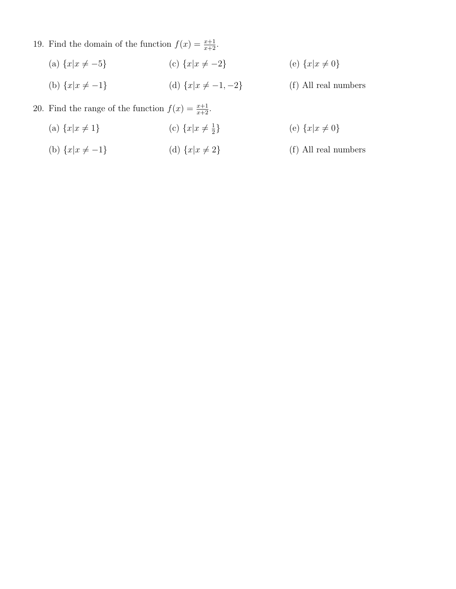- 19. Find the domain of the function  $f(x) = \frac{x+1}{x+2}$ .
	- (a)  ${x|x \neq -5}$ (c)  ${x|x \neq -2}$ (e)  ${x|x \neq 0}$
	- (b)  ${x|x \neq -1}$ (d)  $\{x|x \neq -1, -2\}$

(f) All real numbers

20. Find the range of the function  $f(x) = \frac{x+1}{x+2}$ .

- (a)  ${x|x \neq 1}$ (c)  $\{x|x\neq \frac{1}{2}\}$  $\frac{1}{2}$ (e)  ${x|x \neq 0}$
- (b)  ${x|x \neq -1}$ (d)  ${x|x \neq 2}$ (f) All real numbers